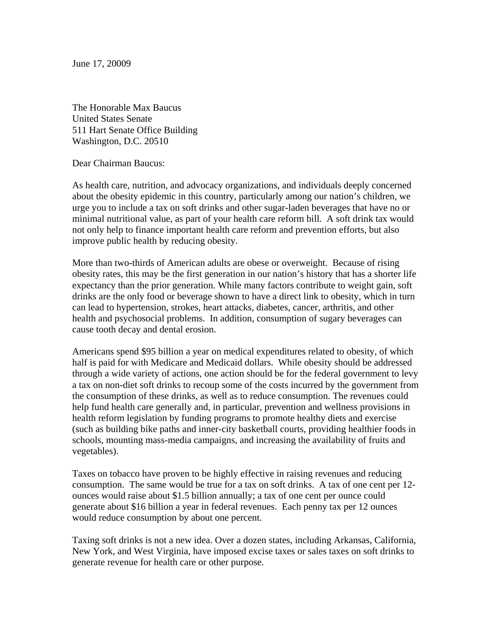June 17, 20009

The Honorable Max Baucus United States Senate 511 Hart Senate Office Building Washington, D.C. 20510

Dear Chairman Baucus:

As health care, nutrition, and advocacy organizations, and individuals deeply concerned about the obesity epidemic in this country, particularly among our nation's children, we urge you to include a tax on soft drinks and other sugar-laden beverages that have no or minimal nutritional value, as part of your health care reform bill. A soft drink tax would not only help to finance important health care reform and prevention efforts, but also improve public health by reducing obesity.

More than two-thirds of American adults are obese or overweight. Because of rising obesity rates, this may be the first generation in our nation's history that has a shorter life expectancy than the prior generation. While many factors contribute to weight gain, soft drinks are the only food or beverage shown to have a direct link to obesity, which in turn can lead to hypertension, strokes, heart attacks, diabetes, cancer, arthritis, and other health and psychosocial problems. In addition, consumption of sugary beverages can cause tooth decay and dental erosion.

Americans spend \$95 billion a year on medical expenditures related to obesity, of which half is paid for with Medicare and Medicaid dollars. While obesity should be addressed through a wide variety of actions, one action should be for the federal government to levy a tax on non-diet soft drinks to recoup some of the costs incurred by the government from the consumption of these drinks, as well as to reduce consumption. The revenues could help fund health care generally and, in particular, prevention and wellness provisions in health reform legislation by funding programs to promote healthy diets and exercise (such as building bike paths and inner-city basketball courts, providing healthier foods in schools, mounting mass-media campaigns, and increasing the availability of fruits and vegetables).

Taxes on tobacco have proven to be highly effective in raising revenues and reducing consumption. The same would be true for a tax on soft drinks. A tax of one cent per 12 ounces would raise about \$1.5 billion annually; a tax of one cent per ounce could generate about \$16 billion a year in federal revenues. Each penny tax per 12 ounces would reduce consumption by about one percent.

Taxing soft drinks is not a new idea. Over a dozen states, including Arkansas, California, New York, and West Virginia, have imposed excise taxes or sales taxes on soft drinks to generate revenue for health care or other purpose.